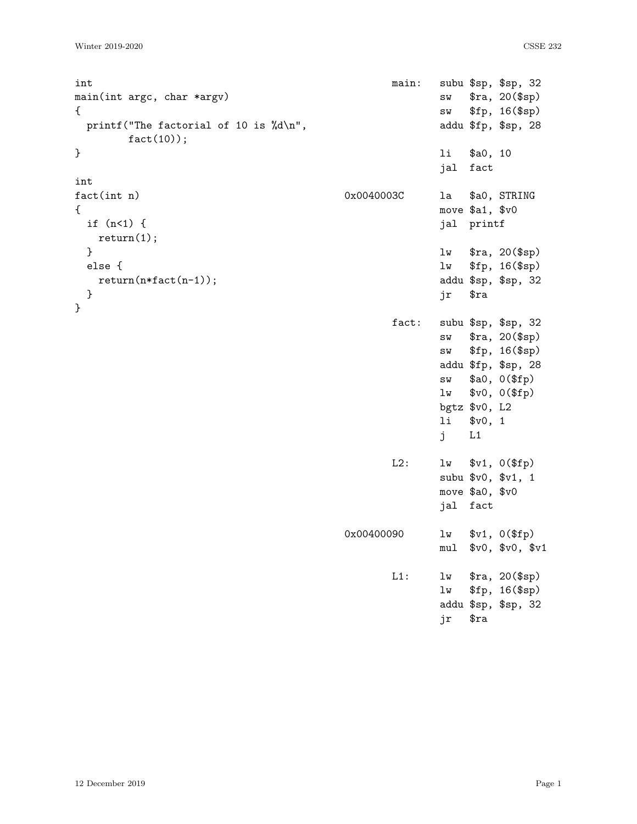```
int
main(int argc, char *argv)
{
 printf("The factorial of 10 is %d\n",
        fact(10));}
int
fact(int n)
{
 if (n<1) {
   return(1);
 }
 else {
   return(n*fact(n-1));
 }
}
                                                 main: subu $sp, $sp, 32
                                                         sw $ra, 20($sp)
                                                         sw $fp, 16($sp)
                                                         addu $fp, $sp, 28
                                                         li $a0, 10
                                                         jal fact
                                          0x0040003C la $a0, STRING
                                                         move $a1, $v0
                                                         jal printf
                                                         lw $ra, 20($sp)
                                                         lw $fp, 16($sp)
                                                         addu $sp, $sp, 32
                                                         jr $ra
                                                  fact: subu $sp, $sp, 32
                                                         sw $ra, 20($sp)
                                                         sw $fp, 16($sp)
                                                         addu $fp, $sp, 28
                                                         sw $a0, 0($fp)
                                                         lw $v0, 0($fp)
                                                         bgtz $v0, L2
                                                         li $v0, 1
                                                         j L1
                                                 L2: lw $v1, 0 ($fp)subu $v0, $v1, 1
                                                         move $a0, $v0
                                                         jal fact
                                          0x00400090 lw $v1, 0($fp)
                                                         mul $v0, $v0, $v1
                                                 L1: lw $ra, 20($sp)
                                                         lw $fp, 16($sp)
                                                         addu $sp, $sp, 32
                                                         jr $ra
```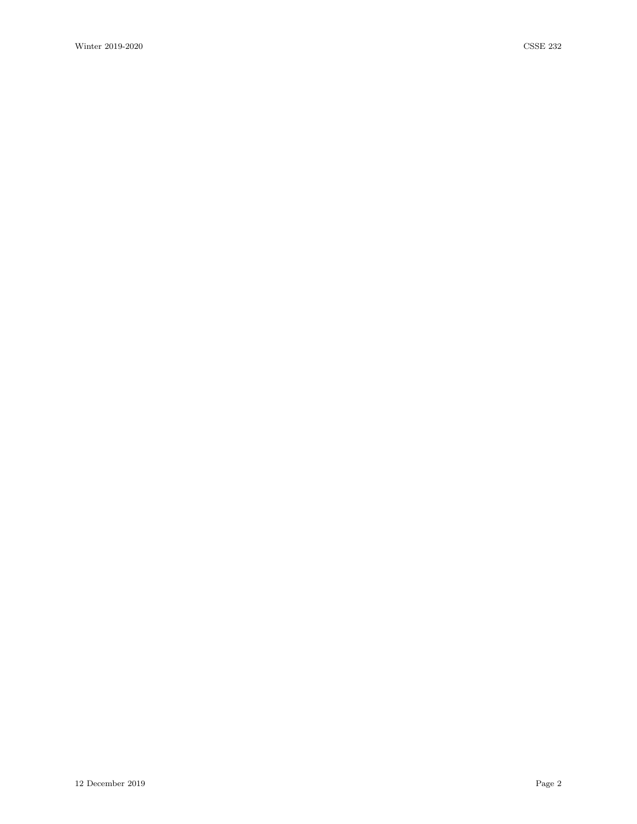Winter 2019-2020 CSSE 232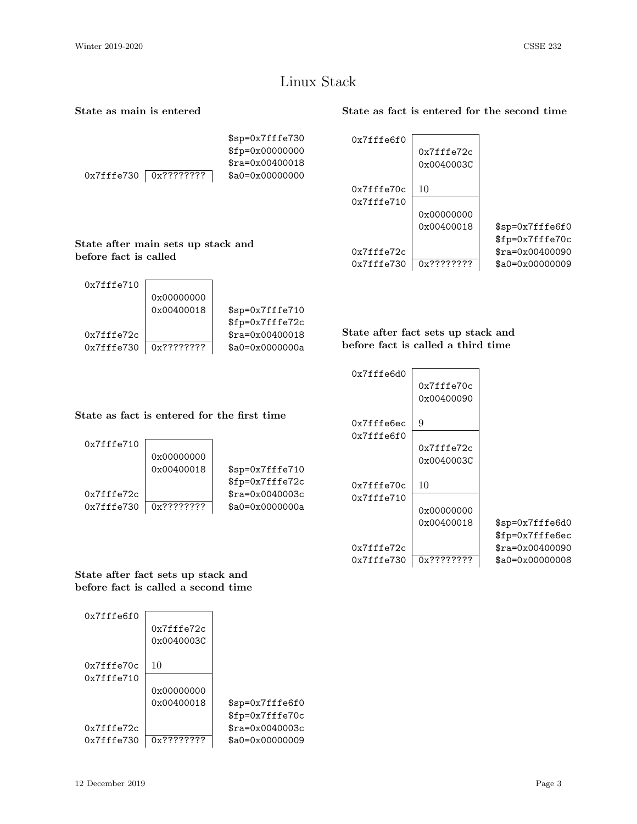## Linux Stack